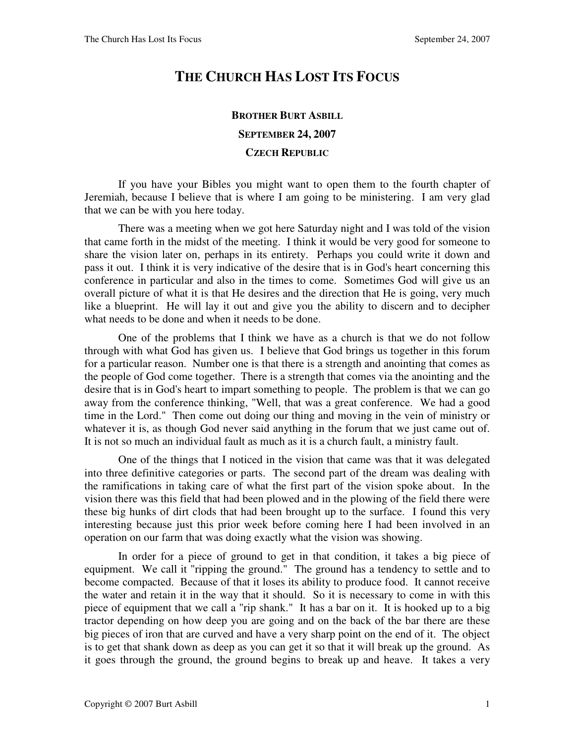## **THE CHURCH HAS LOST ITS FOCUS**

## **BROTHER BURT ASBILL SEPTEMBER 24, 2007 CZECH REPUBLIC**

If you have your Bibles you might want to open them to the fourth chapter of Jeremiah, because I believe that is where I am going to be ministering. I am very glad that we can be with you here today.

There was a meeting when we got here Saturday night and I was told of the vision that came forth in the midst of the meeting. I think it would be very good for someone to share the vision later on, perhaps in its entirety. Perhaps you could write it down and pass it out. I think it is very indicative of the desire that is in God's heart concerning this conference in particular and also in the times to come. Sometimes God will give us an overall picture of what it is that He desires and the direction that He is going, very much like a blueprint. He will lay it out and give you the ability to discern and to decipher what needs to be done and when it needs to be done.

One of the problems that I think we have as a church is that we do not follow through with what God has given us. I believe that God brings us together in this forum for a particular reason. Number one is that there is a strength and anointing that comes as the people of God come together. There is a strength that comes via the anointing and the desire that is in God's heart to impart something to people. The problem is that we can go away from the conference thinking, "Well, that was a great conference. We had a good time in the Lord." Then come out doing our thing and moving in the vein of ministry or whatever it is, as though God never said anything in the forum that we just came out of. It is not so much an individual fault as much as it is a church fault, a ministry fault.

One of the things that I noticed in the vision that came was that it was delegated into three definitive categories or parts. The second part of the dream was dealing with the ramifications in taking care of what the first part of the vision spoke about. In the vision there was this field that had been plowed and in the plowing of the field there were these big hunks of dirt clods that had been brought up to the surface. I found this very interesting because just this prior week before coming here I had been involved in an operation on our farm that was doing exactly what the vision was showing.

In order for a piece of ground to get in that condition, it takes a big piece of equipment. We call it "ripping the ground." The ground has a tendency to settle and to become compacted. Because of that it loses its ability to produce food. It cannot receive the water and retain it in the way that it should. So it is necessary to come in with this piece of equipment that we call a "rip shank." It has a bar on it. It is hooked up to a big tractor depending on how deep you are going and on the back of the bar there are these big pieces of iron that are curved and have a very sharp point on the end of it. The object is to get that shank down as deep as you can get it so that it will break up the ground. As it goes through the ground, the ground begins to break up and heave. It takes a very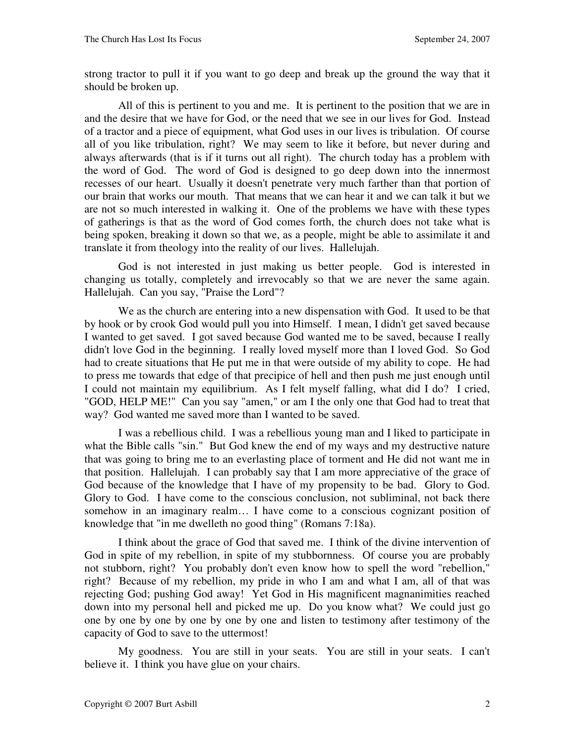strong tractor to pull it if you want to go deep and break up the ground the way that it should be broken up.

All of this is pertinent to you and me. It is pertinent to the position that we are in and the desire that we have for God, or the need that we see in our lives for God. Instead of a tractor and a piece of equipment, what God uses in our lives is tribulation. Of course all of you like tribulation, right? We may seem to like it before, but never during and always afterwards (that is if it turns out all right). The church today has a problem with the word of God. The word of God is designed to go deep down into the innermost recesses of our heart. Usually it doesn't penetrate very much farther than that portion of our brain that works our mouth. That means that we can hear it and we can talk it but we are not so much interested in walking it. One of the problems we have with these types of gatherings is that as the word of God comes forth, the church does not take what is being spoken, breaking it down so that we, as a people, might be able to assimilate it and translate it from theology into the reality of our lives. Hallelujah.

God is not interested in just making us better people. God is interested in changing us totally, completely and irrevocably so that we are never the same again. Hallelujah. Can you say, "Praise the Lord"?

We as the church are entering into a new dispensation with God. It used to be that by hook or by crook God would pull you into Himself. I mean, I didn't get saved because I wanted to get saved. I got saved because God wanted me to be saved, because I really didn't love God in the beginning. I really loved myself more than I loved God. So God had to create situations that He put me in that were outside of my ability to cope. He had to press me towards that edge of that precipice of hell and then push me just enough until I could not maintain my equilibrium. As I felt myself falling, what did I do? I cried, "GOD, HELP ME!" Can you say "amen," or am I the only one that God had to treat that way? God wanted me saved more than I wanted to be saved.

I was a rebellious child. I was a rebellious young man and I liked to participate in what the Bible calls "sin." But God knew the end of my ways and my destructive nature that was going to bring me to an everlasting place of torment and He did not want me in that position. Hallelujah. I can probably say that I am more appreciative of the grace of God because of the knowledge that I have of my propensity to be bad. Glory to God. Glory to God. I have come to the conscious conclusion, not subliminal, not back there somehow in an imaginary realm… I have come to a conscious cognizant position of knowledge that "in me dwelleth no good thing" (Romans 7:18a).

I think about the grace of God that saved me. I think of the divine intervention of God in spite of my rebellion, in spite of my stubbornness. Of course you are probably not stubborn, right? You probably don't even know how to spell the word "rebellion," right? Because of my rebellion, my pride in who I am and what I am, all of that was rejecting God; pushing God away! Yet God in His magnificent magnanimities reached down into my personal hell and picked me up. Do you know what? We could just go one by one by one by one by one by one and listen to testimony after testimony of the capacity of God to save to the uttermost!

My goodness. You are still in your seats. You are still in your seats. I can't believe it. I think you have glue on your chairs.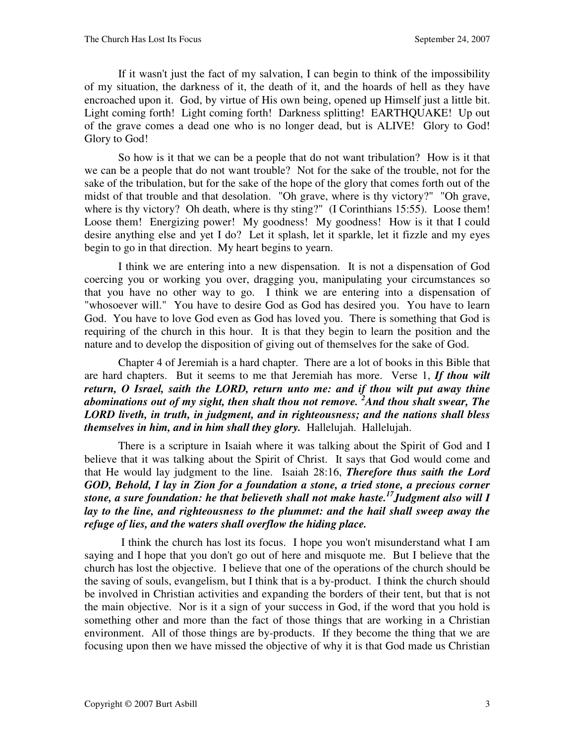If it wasn't just the fact of my salvation, I can begin to think of the impossibility of my situation, the darkness of it, the death of it, and the hoards of hell as they have encroached upon it. God, by virtue of His own being, opened up Himself just a little bit. Light coming forth! Light coming forth! Darkness splitting! EARTHQUAKE! Up out of the grave comes a dead one who is no longer dead, but is ALIVE! Glory to God! Glory to God!

So how is it that we can be a people that do not want tribulation? How is it that we can be a people that do not want trouble? Not for the sake of the trouble, not for the sake of the tribulation, but for the sake of the hope of the glory that comes forth out of the midst of that trouble and that desolation. "Oh grave, where is thy victory?" "Oh grave, where is thy victory? Oh death, where is thy sting?" (I Corinthians 15:55). Loose them! Loose them! Energizing power! My goodness! My goodness! How is it that I could desire anything else and yet I do? Let it splash, let it sparkle, let it fizzle and my eyes begin to go in that direction. My heart begins to yearn.

I think we are entering into a new dispensation. It is not a dispensation of God coercing you or working you over, dragging you, manipulating your circumstances so that you have no other way to go. I think we are entering into a dispensation of "whosoever will." You have to desire God as God has desired you. You have to learn God. You have to love God even as God has loved you. There is something that God is requiring of the church in this hour. It is that they begin to learn the position and the nature and to develop the disposition of giving out of themselves for the sake of God.

Chapter 4 of Jeremiah is a hard chapter. There are a lot of books in this Bible that are hard chapters. But it seems to me that Jeremiah has more. Verse 1, *If thou wilt return, O Israel, saith the LORD, return unto me: and if thou wilt put away thine abominations out of my sight, then shalt thou not remove. <sup>2</sup>And thou shalt swear, The LORD liveth, in truth, in judgment, and in righteousness; and the nations shall bless themselves in him, and in him shall they glory.* Hallelujah. Hallelujah.

There is a scripture in Isaiah where it was talking about the Spirit of God and I believe that it was talking about the Spirit of Christ. It says that God would come and that He would lay judgment to the line. Isaiah 28:16, *Therefore thus saith the Lord GOD, Behold, I lay in Zion for a foundation a stone, a tried stone, a precious corner stone, a sure foundation: he that believeth shall not make haste.<sup>17</sup>Judgment also will I lay to the line, and righteousness to the plummet: and the hail shall sweep away the refuge of lies, and the waters shall overflow the hiding place.*

 I think the church has lost its focus. I hope you won't misunderstand what I am saying and I hope that you don't go out of here and misquote me. But I believe that the church has lost the objective. I believe that one of the operations of the church should be the saving of souls, evangelism, but I think that is a by-product. I think the church should be involved in Christian activities and expanding the borders of their tent, but that is not the main objective. Nor is it a sign of your success in God, if the word that you hold is something other and more than the fact of those things that are working in a Christian environment. All of those things are by-products. If they become the thing that we are focusing upon then we have missed the objective of why it is that God made us Christian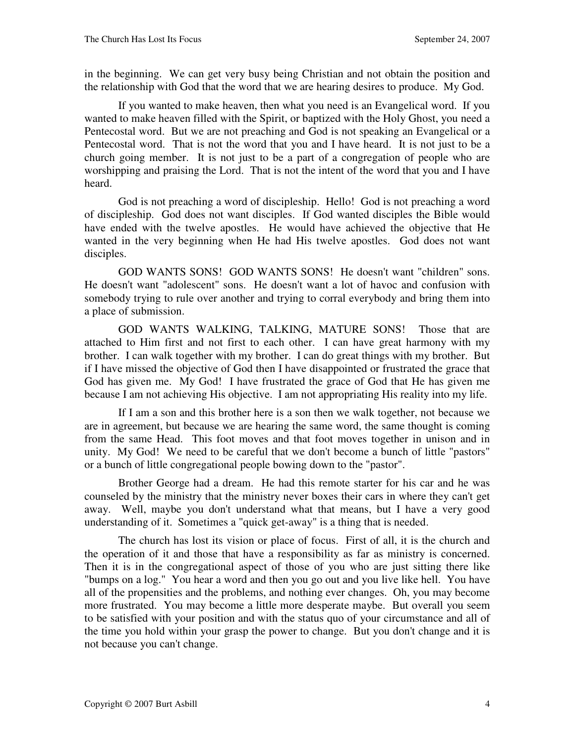in the beginning. We can get very busy being Christian and not obtain the position and the relationship with God that the word that we are hearing desires to produce. My God.

If you wanted to make heaven, then what you need is an Evangelical word. If you wanted to make heaven filled with the Spirit, or baptized with the Holy Ghost, you need a Pentecostal word. But we are not preaching and God is not speaking an Evangelical or a Pentecostal word. That is not the word that you and I have heard. It is not just to be a church going member. It is not just to be a part of a congregation of people who are worshipping and praising the Lord. That is not the intent of the word that you and I have heard.

God is not preaching a word of discipleship. Hello! God is not preaching a word of discipleship. God does not want disciples. If God wanted disciples the Bible would have ended with the twelve apostles. He would have achieved the objective that He wanted in the very beginning when He had His twelve apostles. God does not want disciples.

GOD WANTS SONS! GOD WANTS SONS! He doesn't want "children" sons. He doesn't want "adolescent" sons. He doesn't want a lot of havoc and confusion with somebody trying to rule over another and trying to corral everybody and bring them into a place of submission.

GOD WANTS WALKING, TALKING, MATURE SONS! Those that are attached to Him first and not first to each other. I can have great harmony with my brother. I can walk together with my brother. I can do great things with my brother. But if I have missed the objective of God then I have disappointed or frustrated the grace that God has given me. My God! I have frustrated the grace of God that He has given me because I am not achieving His objective. I am not appropriating His reality into my life.

If I am a son and this brother here is a son then we walk together, not because we are in agreement, but because we are hearing the same word, the same thought is coming from the same Head. This foot moves and that foot moves together in unison and in unity. My God! We need to be careful that we don't become a bunch of little "pastors" or a bunch of little congregational people bowing down to the "pastor".

Brother George had a dream. He had this remote starter for his car and he was counseled by the ministry that the ministry never boxes their cars in where they can't get away. Well, maybe you don't understand what that means, but I have a very good understanding of it. Sometimes a "quick get-away" is a thing that is needed.

The church has lost its vision or place of focus. First of all, it is the church and the operation of it and those that have a responsibility as far as ministry is concerned. Then it is in the congregational aspect of those of you who are just sitting there like "bumps on a log." You hear a word and then you go out and you live like hell. You have all of the propensities and the problems, and nothing ever changes. Oh, you may become more frustrated. You may become a little more desperate maybe. But overall you seem to be satisfied with your position and with the status quo of your circumstance and all of the time you hold within your grasp the power to change. But you don't change and it is not because you can't change.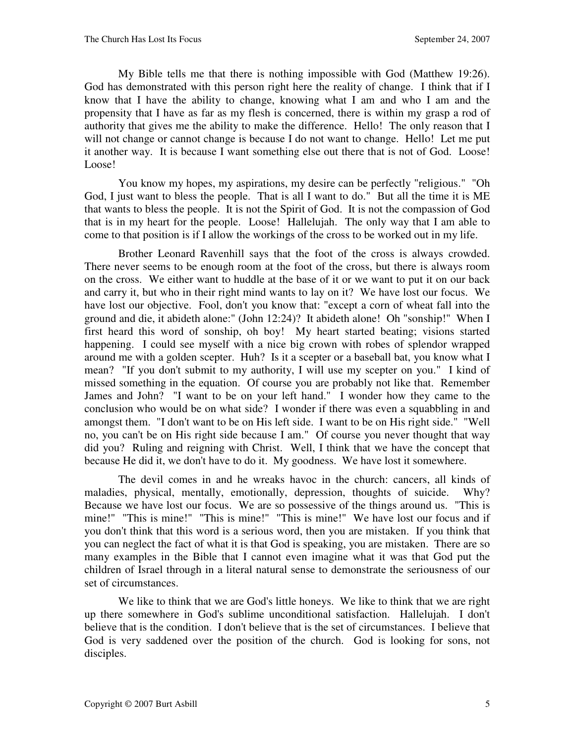My Bible tells me that there is nothing impossible with God (Matthew 19:26). God has demonstrated with this person right here the reality of change. I think that if I know that I have the ability to change, knowing what I am and who I am and the propensity that I have as far as my flesh is concerned, there is within my grasp a rod of authority that gives me the ability to make the difference. Hello! The only reason that I will not change or cannot change is because I do not want to change. Hello! Let me put it another way. It is because I want something else out there that is not of God. Loose! Loose!

You know my hopes, my aspirations, my desire can be perfectly "religious." "Oh God, I just want to bless the people. That is all I want to do." But all the time it is ME that wants to bless the people. It is not the Spirit of God. It is not the compassion of God that is in my heart for the people. Loose! Hallelujah. The only way that I am able to come to that position is if I allow the workings of the cross to be worked out in my life.

Brother Leonard Ravenhill says that the foot of the cross is always crowded. There never seems to be enough room at the foot of the cross, but there is always room on the cross. We either want to huddle at the base of it or we want to put it on our back and carry it, but who in their right mind wants to lay on it? We have lost our focus. We have lost our objective. Fool, don't you know that: "except a corn of wheat fall into the ground and die, it abideth alone:" (John 12:24)? It abideth alone! Oh "sonship!" When I first heard this word of sonship, oh boy! My heart started beating; visions started happening. I could see myself with a nice big crown with robes of splendor wrapped around me with a golden scepter. Huh? Is it a scepter or a baseball bat, you know what I mean? "If you don't submit to my authority, I will use my scepter on you." I kind of missed something in the equation. Of course you are probably not like that. Remember James and John? "I want to be on your left hand." I wonder how they came to the conclusion who would be on what side? I wonder if there was even a squabbling in and amongst them. "I don't want to be on His left side. I want to be on His right side." "Well no, you can't be on His right side because I am." Of course you never thought that way did you? Ruling and reigning with Christ. Well, I think that we have the concept that because He did it, we don't have to do it. My goodness. We have lost it somewhere.

The devil comes in and he wreaks havoc in the church: cancers, all kinds of maladies, physical, mentally, emotionally, depression, thoughts of suicide. Why? Because we have lost our focus. We are so possessive of the things around us. "This is mine!" "This is mine!" "This is mine!" "This is mine!" We have lost our focus and if you don't think that this word is a serious word, then you are mistaken. If you think that you can neglect the fact of what it is that God is speaking, you are mistaken. There are so many examples in the Bible that I cannot even imagine what it was that God put the children of Israel through in a literal natural sense to demonstrate the seriousness of our set of circumstances.

We like to think that we are God's little honeys. We like to think that we are right up there somewhere in God's sublime unconditional satisfaction. Hallelujah. I don't believe that is the condition. I don't believe that is the set of circumstances. I believe that God is very saddened over the position of the church. God is looking for sons, not disciples.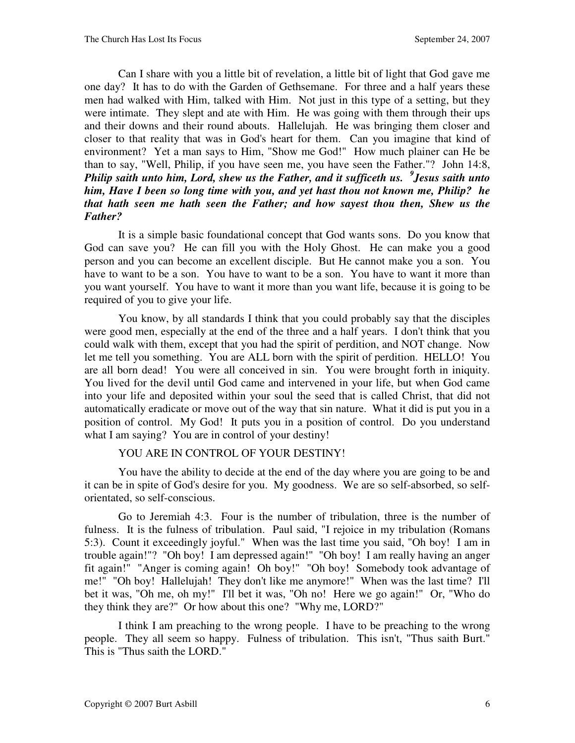Can I share with you a little bit of revelation, a little bit of light that God gave me one day? It has to do with the Garden of Gethsemane. For three and a half years these men had walked with Him, talked with Him. Not just in this type of a setting, but they were intimate. They slept and ate with Him. He was going with them through their ups and their downs and their round abouts. Hallelujah. He was bringing them closer and closer to that reality that was in God's heart for them. Can you imagine that kind of environment? Yet a man says to Him, "Show me God!" How much plainer can He be than to say, "Well, Philip, if you have seen me, you have seen the Father."? John 14:8, *Philip saith unto him, Lord, shew us the Father, and it sufficeth us. <sup>9</sup> Jesus saith unto him, Have I been so long time with you, and yet hast thou not known me, Philip? he that hath seen me hath seen the Father; and how sayest thou then, Shew us the Father?*

It is a simple basic foundational concept that God wants sons. Do you know that God can save you? He can fill you with the Holy Ghost. He can make you a good person and you can become an excellent disciple. But He cannot make you a son. You have to want to be a son. You have to want to be a son. You have to want it more than you want yourself. You have to want it more than you want life, because it is going to be required of you to give your life.

You know, by all standards I think that you could probably say that the disciples were good men, especially at the end of the three and a half years. I don't think that you could walk with them, except that you had the spirit of perdition, and NOT change. Now let me tell you something. You are ALL born with the spirit of perdition. HELLO! You are all born dead! You were all conceived in sin. You were brought forth in iniquity. You lived for the devil until God came and intervened in your life, but when God came into your life and deposited within your soul the seed that is called Christ, that did not automatically eradicate or move out of the way that sin nature. What it did is put you in a position of control. My God! It puts you in a position of control. Do you understand what I am saying? You are in control of your destiny!

## YOU ARE IN CONTROL OF YOUR DESTINY!

You have the ability to decide at the end of the day where you are going to be and it can be in spite of God's desire for you. My goodness. We are so self-absorbed, so selforientated, so self-conscious.

Go to Jeremiah 4:3. Four is the number of tribulation, three is the number of fulness. It is the fulness of tribulation. Paul said, "I rejoice in my tribulation (Romans 5:3). Count it exceedingly joyful." When was the last time you said, "Oh boy! I am in trouble again!"? "Oh boy! I am depressed again!" "Oh boy! I am really having an anger fit again!" "Anger is coming again! Oh boy!" "Oh boy! Somebody took advantage of me!" "Oh boy! Hallelujah! They don't like me anymore!" When was the last time? I'll bet it was, "Oh me, oh my!" I'll bet it was, "Oh no! Here we go again!" Or, "Who do they think they are?" Or how about this one? "Why me, LORD?"

I think I am preaching to the wrong people. I have to be preaching to the wrong people. They all seem so happy. Fulness of tribulation. This isn't, "Thus saith Burt." This is "Thus saith the LORD."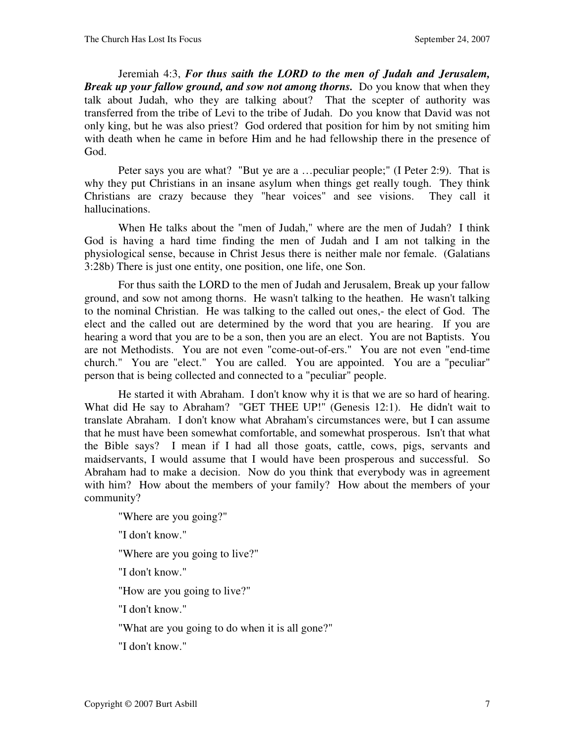Jeremiah 4:3, *For thus saith the LORD to the men of Judah and Jerusalem, Break up your fallow ground, and sow not among thorns.* Do you know that when they talk about Judah, who they are talking about? That the scepter of authority was transferred from the tribe of Levi to the tribe of Judah. Do you know that David was not only king, but he was also priest? God ordered that position for him by not smiting him with death when he came in before Him and he had fellowship there in the presence of God.

Peter says you are what? "But ye are a …peculiar people;" (I Peter 2:9). That is why they put Christians in an insane asylum when things get really tough. They think Christians are crazy because they "hear voices" and see visions. They call it hallucinations.

When He talks about the "men of Judah," where are the men of Judah? I think God is having a hard time finding the men of Judah and I am not talking in the physiological sense, because in Christ Jesus there is neither male nor female. (Galatians 3:28b) There is just one entity, one position, one life, one Son.

For thus saith the LORD to the men of Judah and Jerusalem, Break up your fallow ground, and sow not among thorns. He wasn't talking to the heathen. He wasn't talking to the nominal Christian. He was talking to the called out ones,- the elect of God. The elect and the called out are determined by the word that you are hearing. If you are hearing a word that you are to be a son, then you are an elect. You are not Baptists. You are not Methodists. You are not even "come-out-of-ers." You are not even "end-time church." You are "elect." You are called. You are appointed. You are a "peculiar" person that is being collected and connected to a "peculiar" people.

He started it with Abraham. I don't know why it is that we are so hard of hearing. What did He say to Abraham? "GET THEE UP!" (Genesis 12:1). He didn't wait to translate Abraham. I don't know what Abraham's circumstances were, but I can assume that he must have been somewhat comfortable, and somewhat prosperous. Isn't that what the Bible says? I mean if I had all those goats, cattle, cows, pigs, servants and maidservants, I would assume that I would have been prosperous and successful. So Abraham had to make a decision. Now do you think that everybody was in agreement with him? How about the members of your family? How about the members of your community?

"Where are you going?"

"I don't know."

"Where are you going to live?"

"I don't know."

"How are you going to live?"

"I don't know."

"What are you going to do when it is all gone?"

"I don't know."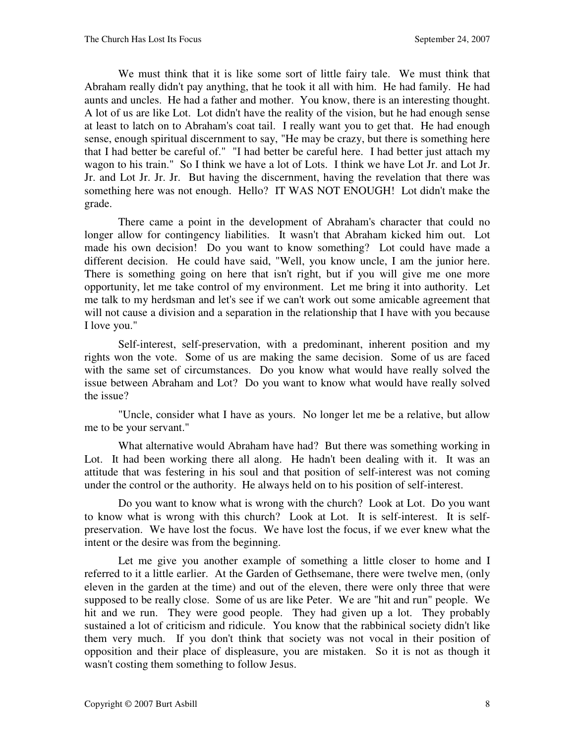We must think that it is like some sort of little fairy tale. We must think that Abraham really didn't pay anything, that he took it all with him. He had family. He had aunts and uncles. He had a father and mother. You know, there is an interesting thought. A lot of us are like Lot. Lot didn't have the reality of the vision, but he had enough sense at least to latch on to Abraham's coat tail. I really want you to get that. He had enough sense, enough spiritual discernment to say, "He may be crazy, but there is something here that I had better be careful of." "I had better be careful here. I had better just attach my wagon to his train." So I think we have a lot of Lots. I think we have Lot Jr. and Lot Jr. Jr. and Lot Jr. Jr. Jr. But having the discernment, having the revelation that there was something here was not enough. Hello? IT WAS NOT ENOUGH! Lot didn't make the grade.

There came a point in the development of Abraham's character that could no longer allow for contingency liabilities. It wasn't that Abraham kicked him out. Lot made his own decision! Do you want to know something? Lot could have made a different decision. He could have said, "Well, you know uncle, I am the junior here. There is something going on here that isn't right, but if you will give me one more opportunity, let me take control of my environment. Let me bring it into authority. Let me talk to my herdsman and let's see if we can't work out some amicable agreement that will not cause a division and a separation in the relationship that I have with you because I love you."

Self-interest, self-preservation, with a predominant, inherent position and my rights won the vote. Some of us are making the same decision. Some of us are faced with the same set of circumstances. Do you know what would have really solved the issue between Abraham and Lot? Do you want to know what would have really solved the issue?

"Uncle, consider what I have as yours. No longer let me be a relative, but allow me to be your servant."

What alternative would Abraham have had? But there was something working in Lot. It had been working there all along. He hadn't been dealing with it. It was an attitude that was festering in his soul and that position of self-interest was not coming under the control or the authority. He always held on to his position of self-interest.

Do you want to know what is wrong with the church? Look at Lot. Do you want to know what is wrong with this church? Look at Lot. It is self-interest. It is selfpreservation. We have lost the focus. We have lost the focus, if we ever knew what the intent or the desire was from the beginning.

Let me give you another example of something a little closer to home and I referred to it a little earlier. At the Garden of Gethsemane, there were twelve men, (only eleven in the garden at the time) and out of the eleven, there were only three that were supposed to be really close. Some of us are like Peter. We are "hit and run" people. We hit and we run. They were good people. They had given up a lot. They probably sustained a lot of criticism and ridicule. You know that the rabbinical society didn't like them very much. If you don't think that society was not vocal in their position of opposition and their place of displeasure, you are mistaken. So it is not as though it wasn't costing them something to follow Jesus.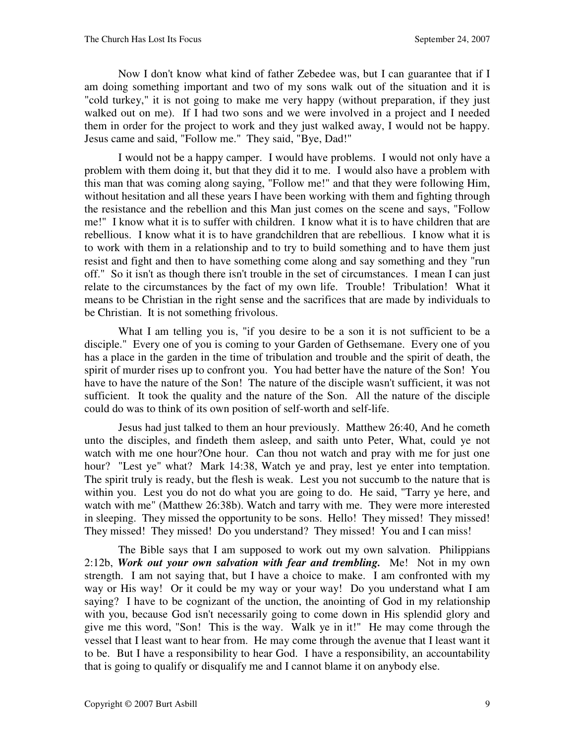Now I don't know what kind of father Zebedee was, but I can guarantee that if I am doing something important and two of my sons walk out of the situation and it is "cold turkey," it is not going to make me very happy (without preparation, if they just walked out on me). If I had two sons and we were involved in a project and I needed them in order for the project to work and they just walked away, I would not be happy. Jesus came and said, "Follow me." They said, "Bye, Dad!"

I would not be a happy camper. I would have problems. I would not only have a problem with them doing it, but that they did it to me. I would also have a problem with this man that was coming along saying, "Follow me!" and that they were following Him, without hesitation and all these years I have been working with them and fighting through the resistance and the rebellion and this Man just comes on the scene and says, "Follow me!" I know what it is to suffer with children. I know what it is to have children that are rebellious. I know what it is to have grandchildren that are rebellious. I know what it is to work with them in a relationship and to try to build something and to have them just resist and fight and then to have something come along and say something and they "run off." So it isn't as though there isn't trouble in the set of circumstances. I mean I can just relate to the circumstances by the fact of my own life. Trouble! Tribulation! What it means to be Christian in the right sense and the sacrifices that are made by individuals to be Christian. It is not something frivolous.

What I am telling you is, "if you desire to be a son it is not sufficient to be a disciple." Every one of you is coming to your Garden of Gethsemane. Every one of you has a place in the garden in the time of tribulation and trouble and the spirit of death, the spirit of murder rises up to confront you. You had better have the nature of the Son! You have to have the nature of the Son! The nature of the disciple wasn't sufficient, it was not sufficient. It took the quality and the nature of the Son. All the nature of the disciple could do was to think of its own position of self-worth and self-life.

Jesus had just talked to them an hour previously. Matthew 26:40, And he cometh unto the disciples, and findeth them asleep, and saith unto Peter, What, could ye not watch with me one hour? One hour. Can thou not watch and pray with me for just one hour? "Lest ye" what? Mark 14:38, Watch ye and pray, lest ye enter into temptation. The spirit truly is ready, but the flesh is weak. Lest you not succumb to the nature that is within you. Lest you do not do what you are going to do. He said, "Tarry ye here, and watch with me" (Matthew 26:38b). Watch and tarry with me. They were more interested in sleeping. They missed the opportunity to be sons. Hello! They missed! They missed! They missed! They missed! Do you understand? They missed! You and I can miss!

The Bible says that I am supposed to work out my own salvation. Philippians 2:12b, *Work out your own salvation with fear and trembling.* Me! Not in my own strength. I am not saying that, but I have a choice to make. I am confronted with my way or His way! Or it could be my way or your way! Do you understand what I am saying? I have to be cognizant of the unction, the anointing of God in my relationship with you, because God isn't necessarily going to come down in His splendid glory and give me this word, "Son! This is the way. Walk ye in it!" He may come through the vessel that I least want to hear from. He may come through the avenue that I least want it to be. But I have a responsibility to hear God. I have a responsibility, an accountability that is going to qualify or disqualify me and I cannot blame it on anybody else.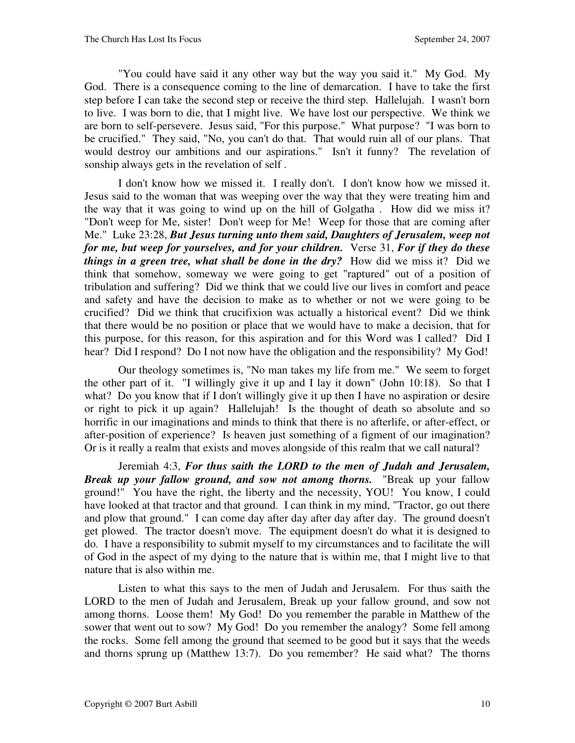"You could have said it any other way but the way you said it." My God. My God. There is a consequence coming to the line of demarcation. I have to take the first step before I can take the second step or receive the third step. Hallelujah. I wasn't born to live. I was born to die, that I might live. We have lost our perspective. We think we are born to self-persevere. Jesus said, "For this purpose." What purpose? "I was born to be crucified." They said, "No, you can't do that. That would ruin all of our plans. That would destroy our ambitions and our aspirations." Isn't it funny? The revelation of sonship always gets in the revelation of self .

I don't know how we missed it. I really don't. I don't know how we missed it. Jesus said to the woman that was weeping over the way that they were treating him and the way that it was going to wind up on the hill of Golgatha . How did we miss it? "Don't weep for Me, sister! Don't weep for Me! Weep for those that are coming after Me." Luke 23:28, *But Jesus turning unto them said, Daughters of Jerusalem, weep not for me, but weep for yourselves, and for your children.* Verse 31, *For if they do these things in a green tree, what shall be done in the dry?* How did we miss it? Did we think that somehow, someway we were going to get "raptured" out of a position of tribulation and suffering? Did we think that we could live our lives in comfort and peace and safety and have the decision to make as to whether or not we were going to be crucified? Did we think that crucifixion was actually a historical event? Did we think that there would be no position or place that we would have to make a decision, that for this purpose, for this reason, for this aspiration and for this Word was I called? Did I hear? Did I respond? Do I not now have the obligation and the responsibility? My God!

Our theology sometimes is, "No man takes my life from me." We seem to forget the other part of it. "I willingly give it up and I lay it down" (John 10:18). So that I what? Do you know that if I don't willingly give it up then I have no aspiration or desire or right to pick it up again? Hallelujah! Is the thought of death so absolute and so horrific in our imaginations and minds to think that there is no afterlife, or after-effect, or after-position of experience? Is heaven just something of a figment of our imagination? Or is it really a realm that exists and moves alongside of this realm that we call natural?

Jeremiah 4:3, *For thus saith the LORD to the men of Judah and Jerusalem, Break up your fallow ground, and sow not among thorns.* "Break up your fallow ground!" You have the right, the liberty and the necessity, YOU! You know, I could have looked at that tractor and that ground. I can think in my mind, "Tractor, go out there and plow that ground." I can come day after day after day after day. The ground doesn't get plowed. The tractor doesn't move. The equipment doesn't do what it is designed to do. I have a responsibility to submit myself to my circumstances and to facilitate the will of God in the aspect of my dying to the nature that is within me, that I might live to that nature that is also within me.

Listen to what this says to the men of Judah and Jerusalem. For thus saith the LORD to the men of Judah and Jerusalem, Break up your fallow ground, and sow not among thorns. Loose them! My God! Do you remember the parable in Matthew of the sower that went out to sow? My God! Do you remember the analogy? Some fell among the rocks. Some fell among the ground that seemed to be good but it says that the weeds and thorns sprung up (Matthew 13:7). Do you remember? He said what? The thorns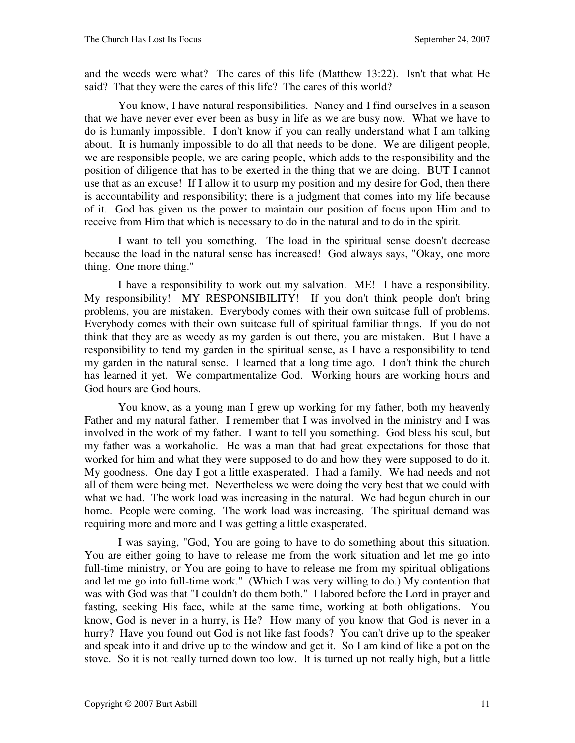and the weeds were what? The cares of this life (Matthew 13:22). Isn't that what He said? That they were the cares of this life? The cares of this world?

You know, I have natural responsibilities. Nancy and I find ourselves in a season that we have never ever ever been as busy in life as we are busy now. What we have to do is humanly impossible. I don't know if you can really understand what I am talking about. It is humanly impossible to do all that needs to be done. We are diligent people, we are responsible people, we are caring people, which adds to the responsibility and the position of diligence that has to be exerted in the thing that we are doing. BUT I cannot use that as an excuse! If I allow it to usurp my position and my desire for God, then there is accountability and responsibility; there is a judgment that comes into my life because of it. God has given us the power to maintain our position of focus upon Him and to receive from Him that which is necessary to do in the natural and to do in the spirit.

I want to tell you something. The load in the spiritual sense doesn't decrease because the load in the natural sense has increased! God always says, "Okay, one more thing. One more thing."

I have a responsibility to work out my salvation. ME! I have a responsibility. My responsibility! MY RESPONSIBILITY! If you don't think people don't bring problems, you are mistaken. Everybody comes with their own suitcase full of problems. Everybody comes with their own suitcase full of spiritual familiar things. If you do not think that they are as weedy as my garden is out there, you are mistaken. But I have a responsibility to tend my garden in the spiritual sense, as I have a responsibility to tend my garden in the natural sense. I learned that a long time ago. I don't think the church has learned it yet. We compartmentalize God. Working hours are working hours and God hours are God hours.

You know, as a young man I grew up working for my father, both my heavenly Father and my natural father. I remember that I was involved in the ministry and I was involved in the work of my father. I want to tell you something. God bless his soul, but my father was a workaholic. He was a man that had great expectations for those that worked for him and what they were supposed to do and how they were supposed to do it. My goodness. One day I got a little exasperated. I had a family. We had needs and not all of them were being met. Nevertheless we were doing the very best that we could with what we had. The work load was increasing in the natural. We had begun church in our home. People were coming. The work load was increasing. The spiritual demand was requiring more and more and I was getting a little exasperated.

I was saying, "God, You are going to have to do something about this situation. You are either going to have to release me from the work situation and let me go into full-time ministry, or You are going to have to release me from my spiritual obligations and let me go into full-time work." (Which I was very willing to do.) My contention that was with God was that "I couldn't do them both." I labored before the Lord in prayer and fasting, seeking His face, while at the same time, working at both obligations. You know, God is never in a hurry, is He? How many of you know that God is never in a hurry? Have you found out God is not like fast foods? You can't drive up to the speaker and speak into it and drive up to the window and get it. So I am kind of like a pot on the stove. So it is not really turned down too low. It is turned up not really high, but a little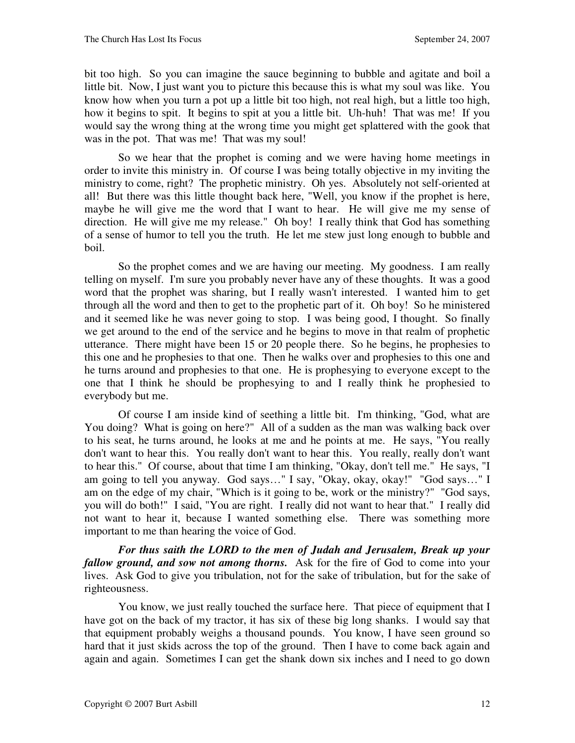bit too high. So you can imagine the sauce beginning to bubble and agitate and boil a little bit. Now, I just want you to picture this because this is what my soul was like. You know how when you turn a pot up a little bit too high, not real high, but a little too high, how it begins to spit. It begins to spit at you a little bit. Uh-huh! That was me! If you would say the wrong thing at the wrong time you might get splattered with the gook that was in the pot. That was me! That was my soul!

So we hear that the prophet is coming and we were having home meetings in order to invite this ministry in. Of course I was being totally objective in my inviting the ministry to come, right? The prophetic ministry. Oh yes. Absolutely not self-oriented at all! But there was this little thought back here, "Well, you know if the prophet is here, maybe he will give me the word that I want to hear. He will give me my sense of direction. He will give me my release." Oh boy! I really think that God has something of a sense of humor to tell you the truth. He let me stew just long enough to bubble and boil.

So the prophet comes and we are having our meeting. My goodness. I am really telling on myself. I'm sure you probably never have any of these thoughts. It was a good word that the prophet was sharing, but I really wasn't interested. I wanted him to get through all the word and then to get to the prophetic part of it. Oh boy! So he ministered and it seemed like he was never going to stop. I was being good, I thought. So finally we get around to the end of the service and he begins to move in that realm of prophetic utterance. There might have been 15 or 20 people there. So he begins, he prophesies to this one and he prophesies to that one. Then he walks over and prophesies to this one and he turns around and prophesies to that one. He is prophesying to everyone except to the one that I think he should be prophesying to and I really think he prophesied to everybody but me.

Of course I am inside kind of seething a little bit. I'm thinking, "God, what are You doing? What is going on here?" All of a sudden as the man was walking back over to his seat, he turns around, he looks at me and he points at me. He says, "You really don't want to hear this. You really don't want to hear this. You really, really don't want to hear this." Of course, about that time I am thinking, "Okay, don't tell me." He says, "I am going to tell you anyway. God says…" I say, "Okay, okay, okay!" "God says…" I am on the edge of my chair, "Which is it going to be, work or the ministry?" "God says, you will do both!" I said, "You are right. I really did not want to hear that." I really did not want to hear it, because I wanted something else. There was something more important to me than hearing the voice of God.

*For thus saith the LORD to the men of Judah and Jerusalem, Break up your fallow ground, and sow not among thorns.* Ask for the fire of God to come into your lives. Ask God to give you tribulation, not for the sake of tribulation, but for the sake of righteousness.

You know, we just really touched the surface here. That piece of equipment that I have got on the back of my tractor, it has six of these big long shanks. I would say that that equipment probably weighs a thousand pounds. You know, I have seen ground so hard that it just skids across the top of the ground. Then I have to come back again and again and again. Sometimes I can get the shank down six inches and I need to go down